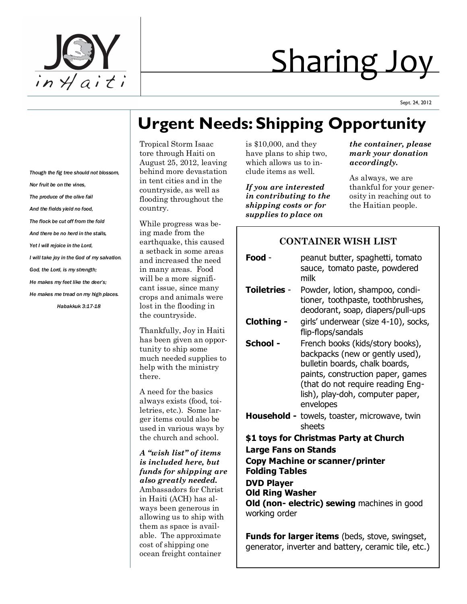

# Sharing Joy

Sept. 24, 2012

# **Urgent Needs: Shipping Opportunity**

Tropical Storm Isaac tore through Haiti on August 25, 2012, leaving behind more devastation in tent cities and in the countryside, as well as flooding throughout the country.

While progress was being made from the earthquake, this caused a setback in some areas and increased the need in many areas. Food will be a more significant issue, since many crops and animals were lost in the flooding in the countryside.

Thankfully, Joy in Haiti has been given an opportunity to ship some much needed supplies to help with the ministry there.

A need for the basics always exists (food, toiletries, etc.). Some larger items could also be used in various ways by the church and school.

*A "wish list" of items is included here, but funds for shipping are also greatly needed.*  Ambassadors for Christ in Haiti (ACH) has always been generous in allowing us to ship with them as space is available. The approximate cost of shipping one ocean freight container

is \$10,000, and they have plans to ship two, which allows us to include items as well.

*If you are interested in contributing to the shipping costs or for supplies to place on* 

*the container, please mark your donation accordingly.* 

As always, we are thankful for your generosity in reaching out to the Haitian people.

## **CONTAINER WISH LIST**

| Food -                                                          | peanut butter, spaghetti, tomato<br>sauce, tomato paste, powdered<br>milk                                                                                                                                                        |
|-----------------------------------------------------------------|----------------------------------------------------------------------------------------------------------------------------------------------------------------------------------------------------------------------------------|
| <b>Toiletries -</b>                                             | Powder, lotion, shampoo, condi-<br>tioner, toothpaste, toothbrushes,<br>deodorant, soap, diapers/pull-ups                                                                                                                        |
| Clothing -                                                      | girls' underwear (size 4-10), socks,<br>flip-flops/sandals                                                                                                                                                                       |
| School -                                                        | French books (kids/story books),<br>backpacks (new or gently used),<br>bulletin boards, chalk boards,<br>paints, construction paper, games<br>(that do not require reading Eng-<br>lish), play-doh, computer paper,<br>envelopes |
|                                                                 | <b>Household -</b> towels, toaster, microwave, twin<br>sheets                                                                                                                                                                    |
| \$1 toys for Christmas Party at Church                          |                                                                                                                                                                                                                                  |
| <b>Large Fans on Stands</b>                                     |                                                                                                                                                                                                                                  |
| <b>Copy Machine or scanner/printer</b><br><b>Folding Tables</b> |                                                                                                                                                                                                                                  |
| <b>DVD Player</b>                                               |                                                                                                                                                                                                                                  |
| <b>Old Ring Washer</b>                                          |                                                                                                                                                                                                                                  |
| Old (non- electric) sewing machines in good<br>working order    |                                                                                                                                                                                                                                  |

**Funds for larger items** (beds, stove, swingset, generator, inverter and battery, ceramic tile, etc.)

*Though the fig tree should not blossom, Nor fruit be on the vines, The produce of the olive fail And the fields yield no food, The flock be cut off from the fold And there be no herd in the stalls, Yet I will rejoice in the Lord, I will take joy in the God of my salvation. God, the Lord, is my strength; He makes my feet like the deer's;*

*He makes me tread on my high places.*

*Habakkuk 3:17-18*